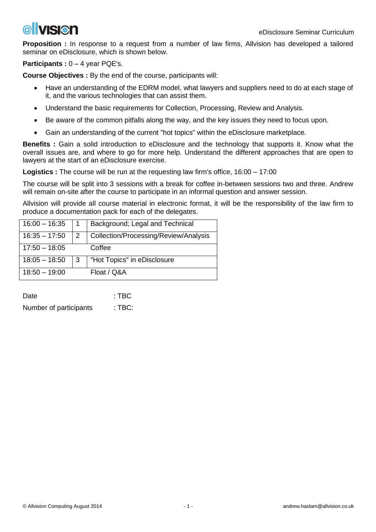

**Proposition :** In response to a request from a number of law firms, Allvision has developed a tailored seminar on eDisclosure, which is shown below.

**Participants :** 0 – 4 year PQE's.

**Course Objectives :** By the end of the course, participants will:

- Have an understanding of the EDRM model, what lawyers and suppliers need to do at each stage of it, and the various technologies that can assist them.
- Understand the basic requirements for Collection, Processing, Review and Analysis.
- Be aware of the common pitfalls along the way, and the key issues they need to focus upon.
- Gain an understanding of the current "hot topics" within the eDisclosure marketplace.

**Benefits :** Gain a solid introduction to eDisclosure and the technology that supports it. Know what the overall issues are, and where to go for more help. Understand the different approaches that are open to lawyers at the start of an eDisclosure exercise.

**Logistics :** The course will be run at the requesting law firm's office, 16:00 – 17:00

The course will be split into 3 sessions with a break for coffee in-between sessions two and three. Andrew will remain on-site after the course to participate in an informal question and answer session.

Allvision will provide all course material in electronic format, it will be the responsibility of the law firm to produce a documentation pack for each of the delegates.

| $16:00 - 16:35$ |   | Background; Legal and Technical       |
|-----------------|---|---------------------------------------|
| $16:35 - 17:50$ | 2 | Collection/Processing/Review/Analysis |
| $17:50 - 18:05$ |   | Coffee                                |
| $18:05 - 18:50$ | 3 | "Hot Topics" in eDisclosure           |
| $18:50 - 19:00$ |   | Float / Q&A                           |

| Date                   | $:$ TBC |
|------------------------|---------|
| Number of participants | : TBC:  |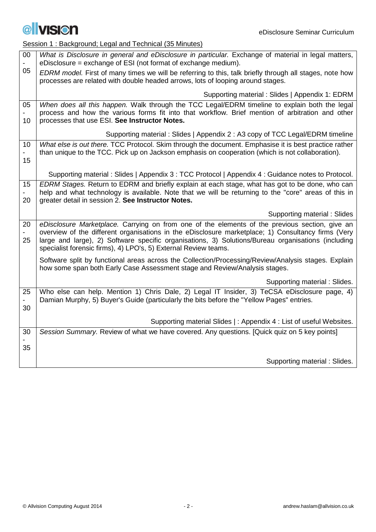

Session 1 : Background; Legal and Technical (35 Minutes)

| 00                         | What is Disclosure in general and eDisclosure in particular. Exchange of material in legal matters,<br>eDisclosure = exchange of ESI (not format of exchange medium).                                                                                                                                                                                                         |
|----------------------------|-------------------------------------------------------------------------------------------------------------------------------------------------------------------------------------------------------------------------------------------------------------------------------------------------------------------------------------------------------------------------------|
| 05                         | EDRM model. First of many times we will be referring to this, talk briefly through all stages, note how<br>processes are related with double headed arrows, lots of looping around stages.                                                                                                                                                                                    |
|                            | Supporting material: Slides   Appendix 1: EDRM                                                                                                                                                                                                                                                                                                                                |
| 05<br>10                   | When does all this happen. Walk through the TCC Legal/EDRM timeline to explain both the legal<br>process and how the various forms fit into that workflow. Brief mention of arbitration and other<br>processes that use ESI. See Instructor Notes.                                                                                                                            |
|                            | Supporting material: Slides   Appendix 2 : A3 copy of TCC Legal/EDRM timeline                                                                                                                                                                                                                                                                                                 |
| 10<br>$\blacksquare$<br>15 | What else is out there. TCC Protocol. Skim through the document. Emphasise it is best practice rather<br>than unique to the TCC. Pick up on Jackson emphasis on cooperation (which is not collaboration).                                                                                                                                                                     |
|                            | Supporting material: Slides   Appendix 3 : TCC Protocol   Appendix 4 : Guidance notes to Protocol.                                                                                                                                                                                                                                                                            |
| 15<br>20                   | EDRM Stages. Return to EDRM and briefly explain at each stage, what has got to be done, who can<br>help and what technology is available. Note that we will be returning to the "core" areas of this in<br>greater detail in session 2. See Instructor Notes.                                                                                                                 |
|                            |                                                                                                                                                                                                                                                                                                                                                                               |
|                            | Supporting material: Slides                                                                                                                                                                                                                                                                                                                                                   |
| 20<br>25                   | eDisclosure Marketplace. Carrying on from one of the elements of the previous section, give an<br>overview of the different organisations in the eDisclosure marketplace; 1) Consultancy firms (Very<br>large and large), 2) Software specific organisations, 3) Solutions/Bureau organisations (including<br>specialist forensic firms), 4) LPO's, 5) External Review teams. |
|                            | Software split by functional areas across the Collection/Processing/Review/Analysis stages. Explain<br>how some span both Early Case Assessment stage and Review/Analysis stages.                                                                                                                                                                                             |
|                            | Supporting material: Slides.                                                                                                                                                                                                                                                                                                                                                  |
| 25<br>30                   | Who else can help. Mention 1) Chris Dale, 2) Legal IT Insider, 3) TeCSA eDisclosure page, 4)<br>Damian Murphy, 5) Buyer's Guide (particularly the bits before the "Yellow Pages" entries.                                                                                                                                                                                     |
|                            |                                                                                                                                                                                                                                                                                                                                                                               |
| 30                         | Supporting material Slides   : Appendix 4 : List of useful Websites.<br>Session Summary. Review of what we have covered. Any questions. [Quick quiz on 5 key points]                                                                                                                                                                                                          |
|                            |                                                                                                                                                                                                                                                                                                                                                                               |
| 35                         | Supporting material: Slides.                                                                                                                                                                                                                                                                                                                                                  |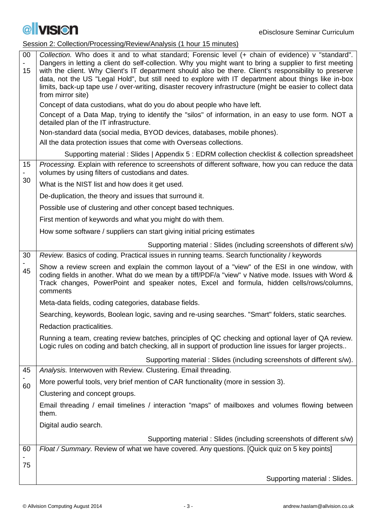

Session 2: Collection/Processing/Review/Analysis (1 hour 15 minutes)

| $00\,$<br>15 | Collection. Who does it and to what standard; Forensic level (+ chain of evidence) v "standard".<br>Dangers in letting a client do self-collection. Why you might want to bring a supplier to first meeting<br>with the client. Why Client's IT department should also be there. Client's responsibility to preserve<br>data, not the US "Legal Hold", but still need to explore with IT department about things like in-box<br>limits, back-up tape use / over-writing, disaster recovery infrastructure (might be easier to collect data<br>from mirror site) |
|--------------|-----------------------------------------------------------------------------------------------------------------------------------------------------------------------------------------------------------------------------------------------------------------------------------------------------------------------------------------------------------------------------------------------------------------------------------------------------------------------------------------------------------------------------------------------------------------|
|              | Concept of data custodians, what do you do about people who have left.                                                                                                                                                                                                                                                                                                                                                                                                                                                                                          |
|              | Concept of a Data Map, trying to identify the "silos" of information, in an easy to use form. NOT a<br>detailed plan of the IT infrastructure.                                                                                                                                                                                                                                                                                                                                                                                                                  |
|              | Non-standard data (social media, BYOD devices, databases, mobile phones).                                                                                                                                                                                                                                                                                                                                                                                                                                                                                       |
|              | All the data protection issues that come with Overseas collections.                                                                                                                                                                                                                                                                                                                                                                                                                                                                                             |
|              | Supporting material: Slides   Appendix 5 : EDRM collection checklist & collection spreadsheet                                                                                                                                                                                                                                                                                                                                                                                                                                                                   |
| 15<br>30     | Processing. Explain with reference to screenshots of different software, how you can reduce the data<br>volumes by using filters of custodians and dates.                                                                                                                                                                                                                                                                                                                                                                                                       |
|              | What is the NIST list and how does it get used.                                                                                                                                                                                                                                                                                                                                                                                                                                                                                                                 |
|              | De-duplication, the theory and issues that surround it.                                                                                                                                                                                                                                                                                                                                                                                                                                                                                                         |
|              | Possible use of clustering and other concept based techniques.                                                                                                                                                                                                                                                                                                                                                                                                                                                                                                  |
|              | First mention of keywords and what you might do with them.                                                                                                                                                                                                                                                                                                                                                                                                                                                                                                      |
|              | How some software / suppliers can start giving initial pricing estimates                                                                                                                                                                                                                                                                                                                                                                                                                                                                                        |
|              | Supporting material: Slides (including screenshots of different s/w)                                                                                                                                                                                                                                                                                                                                                                                                                                                                                            |
| 30           | Review. Basics of coding. Practical issues in running teams. Search functionality / keywords                                                                                                                                                                                                                                                                                                                                                                                                                                                                    |
| 45           | Show a review screen and explain the common layout of a "view" of the ESI in one window, with<br>coding fields in another. What do we mean by a tiff/PDF/a "view" v Native mode. Issues with Word &<br>Track changes, PowerPoint and speaker notes, Excel and formula, hidden cells/rows/columns,<br>comments                                                                                                                                                                                                                                                   |
|              | Meta-data fields, coding categories, database fields.                                                                                                                                                                                                                                                                                                                                                                                                                                                                                                           |
|              | Searching, keywords, Boolean logic, saving and re-using searches. "Smart" folders, static searches.                                                                                                                                                                                                                                                                                                                                                                                                                                                             |
|              | Redaction practicalities.                                                                                                                                                                                                                                                                                                                                                                                                                                                                                                                                       |
|              | Running a team, creating review batches, principles of QC checking and optional layer of QA review.<br>Logic rules on coding and batch checking, all in support of production line issues for larger projects                                                                                                                                                                                                                                                                                                                                                   |
|              | Supporting material: Slides (including screenshots of different s/w).                                                                                                                                                                                                                                                                                                                                                                                                                                                                                           |
| 45           | Analysis. Interwoven with Review. Clustering. Email threading.                                                                                                                                                                                                                                                                                                                                                                                                                                                                                                  |
| 60           | More powerful tools, very brief mention of CAR functionality (more in session 3).                                                                                                                                                                                                                                                                                                                                                                                                                                                                               |
|              | Clustering and concept groups.                                                                                                                                                                                                                                                                                                                                                                                                                                                                                                                                  |
|              | Email threading / email timelines / interaction "maps" of mailboxes and volumes flowing between<br>them.                                                                                                                                                                                                                                                                                                                                                                                                                                                        |
|              | Digital audio search.                                                                                                                                                                                                                                                                                                                                                                                                                                                                                                                                           |
|              | Supporting material: Slides (including screenshots of different s/w)                                                                                                                                                                                                                                                                                                                                                                                                                                                                                            |
| 60           | Float / Summary. Review of what we have covered. Any questions. [Quick quiz on 5 key points]                                                                                                                                                                                                                                                                                                                                                                                                                                                                    |
| 75           |                                                                                                                                                                                                                                                                                                                                                                                                                                                                                                                                                                 |
|              | Supporting material: Slides.                                                                                                                                                                                                                                                                                                                                                                                                                                                                                                                                    |